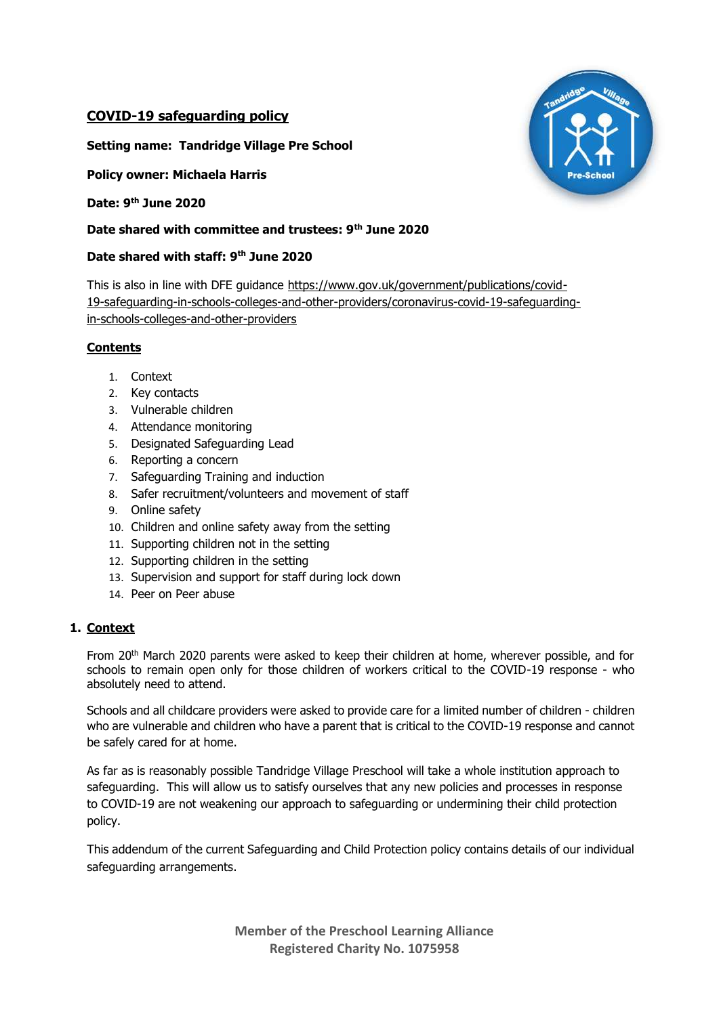# **COVID-19 safeguarding policy**

**Setting name: Tandridge Village Pre School**

**Policy owner: Michaela Harris**

**Date: 9th June 2020**

#### **Date shared with committee and trustees: 9th June 2020**

#### **Date shared with staff: 9th June 2020**

This is also in line with DFE guidance [https://www.gov.uk/government/publications/covid-](https://www.gov.uk/government/publications/covid-19-safeguarding-in-schools-colleges-and-other-providers/coronavirus-covid-19-safeguarding-in-schools-colleges-and-other-providers)[19-safeguarding-in-schools-colleges-and-other-providers/coronavirus-covid-19-safeguarding](https://www.gov.uk/government/publications/covid-19-safeguarding-in-schools-colleges-and-other-providers/coronavirus-covid-19-safeguarding-in-schools-colleges-and-other-providers)[in-schools-colleges-and-other-providers](https://www.gov.uk/government/publications/covid-19-safeguarding-in-schools-colleges-and-other-providers/coronavirus-covid-19-safeguarding-in-schools-colleges-and-other-providers)

## **Contents**

- 1. Context
- 2. Key contacts
- 3. Vulnerable children
- 4. Attendance monitoring
- 5. Designated Safeguarding Lead
- 6. Reporting a concern
- 7. Safeguarding Training and induction
- 8. Safer recruitment/volunteers and movement of staff
- 9. Online safety
- 10. Children and online safety away from the setting
- 11. Supporting children not in the setting
- 12. Supporting children in the setting
- 13. Supervision and support for staff during lock down
- 14. Peer on Peer abuse

## **1. Context**

From 20<sup>th</sup> March 2020 parents were asked to keep their children at home, wherever possible, and for schools to remain open only for those children of workers critical to the COVID-19 response - who absolutely need to attend.

Schools and all childcare providers were asked to provide care for a limited number of children - children who are vulnerable and children who have a parent that is critical to the COVID-19 response and cannot be safely cared for at home.

As far as is reasonably possible Tandridge Village Preschool will take a whole institution approach to safeguarding. This will allow us to satisfy ourselves that any new policies and processes in response to COVID-19 are not weakening our approach to safeguarding or undermining their child protection policy.

This addendum of the current Safeguarding and Child Protection policy contains details of our individual safeguarding arrangements.

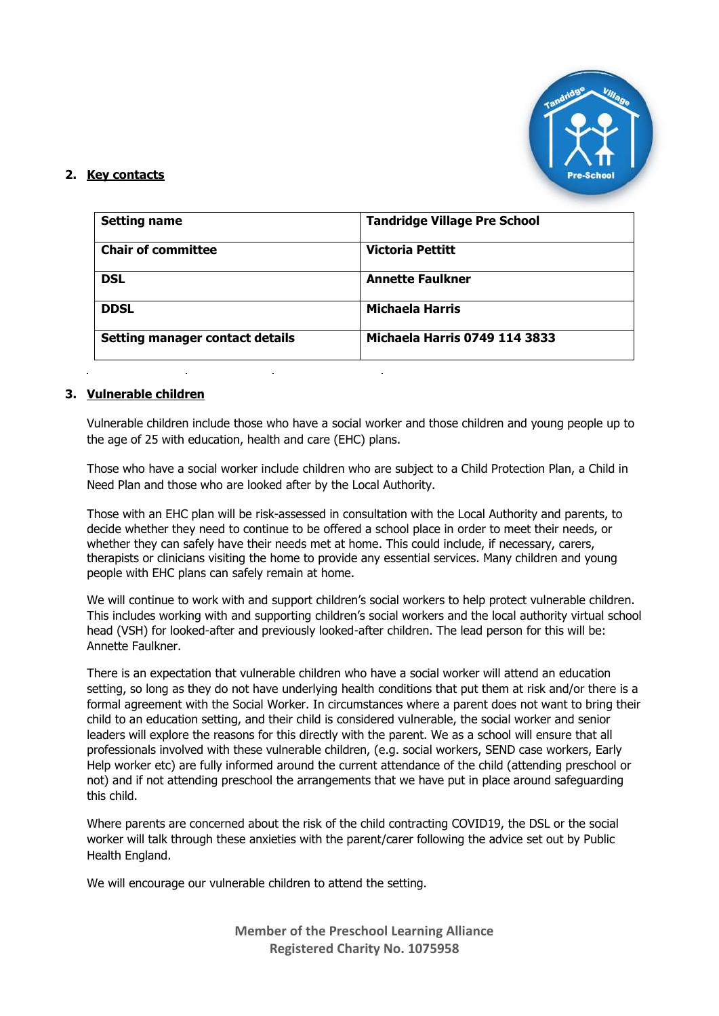

# **2. Key contacts**

| <b>Setting name</b>                    | <b>Tandridge Village Pre School</b> |
|----------------------------------------|-------------------------------------|
| <b>Chair of committee</b>              | <b>Victoria Pettitt</b>             |
| <b>DSL</b>                             | <b>Annette Faulkner</b>             |
| <b>DDSL</b>                            | <b>Michaela Harris</b>              |
| <b>Setting manager contact details</b> | Michaela Harris 0749 114 3833       |

## **3. Vulnerable children**

Vulnerable children include those who have a social worker and those children and young people up to the age of 25 with education, health and care (EHC) plans.

Those who have a social worker include children who are subject to a Child Protection Plan, a Child in Need Plan and those who are looked after by the Local Authority.

Those with an EHC plan will be risk-assessed in consultation with the Local Authority and parents, to decide whether they need to continue to be offered a school place in order to meet their needs, or whether they can safely have their needs met at home. This could include, if necessary, carers, therapists or clinicians visiting the home to provide any essential services. Many children and young people with EHC plans can safely remain at home.

We will continue to work with and support children's social workers to help protect vulnerable children. This includes working with and supporting children's social workers and the local authority virtual school head (VSH) for looked-after and previously looked-after children. The lead person for this will be: Annette Faulkner.

There is an expectation that vulnerable children who have a social worker will attend an education setting, so long as they do not have underlying health conditions that put them at risk and/or there is a formal agreement with the Social Worker. In circumstances where a parent does not want to bring their child to an education setting, and their child is considered vulnerable, the social worker and senior leaders will explore the reasons for this directly with the parent. We as a school will ensure that all professionals involved with these vulnerable children, (e.g. social workers, SEND case workers, Early Help worker etc) are fully informed around the current attendance of the child (attending preschool or not) and if not attending preschool the arrangements that we have put in place around safeguarding this child.

Where parents are concerned about the risk of the child contracting COVID19, the DSL or the social worker will talk through these anxieties with the parent/carer following the advice set out by Public Health England.

We will encourage our vulnerable children to attend the setting.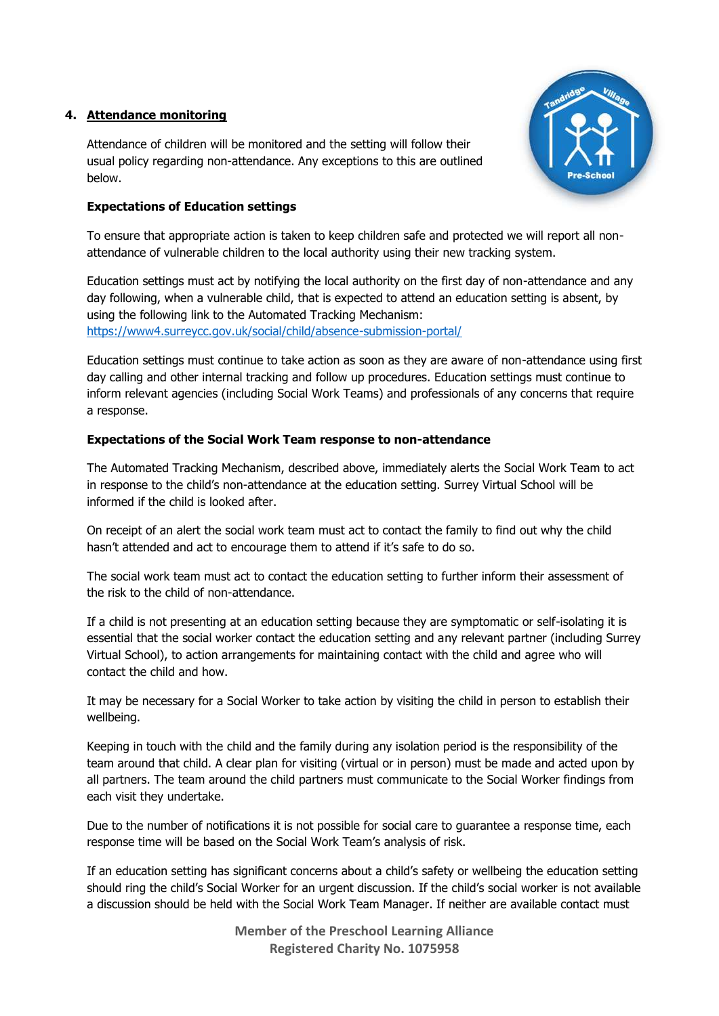## **4. Attendance monitoring**

Attendance of children will be monitored and the setting will follow their usual policy regarding non-attendance. Any exceptions to this are outlined below.



## **Expectations of Education settings**

To ensure that appropriate action is taken to keep children safe and protected we will report all nonattendance of vulnerable children to the local authority using their new tracking system.

Education settings must act by notifying the local authority on the first day of non-attendance and any day following, when a vulnerable child, that is expected to attend an education setting is absent, by using the following link to the Automated Tracking Mechanism: <https://www4.surreycc.gov.uk/social/child/absence-submission-portal/>

Education settings must continue to take action as soon as they are aware of non-attendance using first day calling and other internal tracking and follow up procedures. Education settings must continue to inform relevant agencies (including Social Work Teams) and professionals of any concerns that require a response.

## **Expectations of the Social Work Team response to non-attendance**

The Automated Tracking Mechanism, described above, immediately alerts the Social Work Team to act in response to the child's non-attendance at the education setting. Surrey Virtual School will be informed if the child is looked after.

On receipt of an alert the social work team must act to contact the family to find out why the child hasn't attended and act to encourage them to attend if it's safe to do so.

The social work team must act to contact the education setting to further inform their assessment of the risk to the child of non-attendance.

If a child is not presenting at an education setting because they are symptomatic or self-isolating it is essential that the social worker contact the education setting and any relevant partner (including Surrey Virtual School), to action arrangements for maintaining contact with the child and agree who will contact the child and how.

It may be necessary for a Social Worker to take action by visiting the child in person to establish their wellbeing.

Keeping in touch with the child and the family during any isolation period is the responsibility of the team around that child. A clear plan for visiting (virtual or in person) must be made and acted upon by all partners. The team around the child partners must communicate to the Social Worker findings from each visit they undertake.

Due to the number of notifications it is not possible for social care to guarantee a response time, each response time will be based on the Social Work Team's analysis of risk.

If an education setting has significant concerns about a child's safety or wellbeing the education setting should ring the child's Social Worker for an urgent discussion. If the child's social worker is not available a discussion should be held with the Social Work Team Manager. If neither are available contact must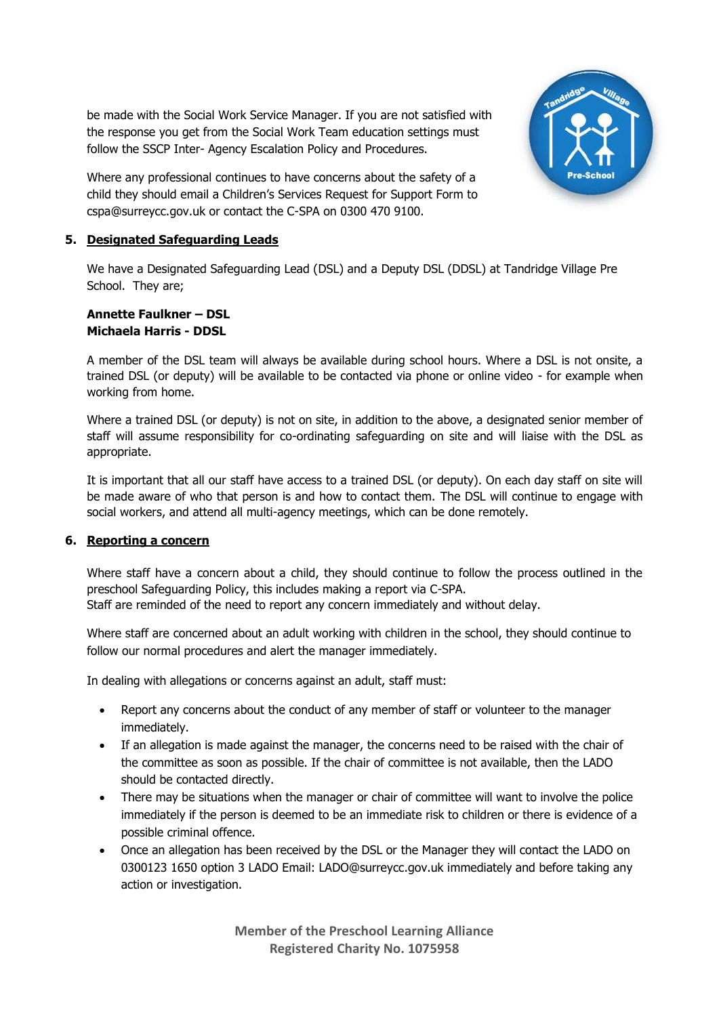be made with the Social Work Service Manager. If you are not satisfied with the response you get from the Social Work Team education settings must follow the SSCP Inter- Agency Escalation Policy and Procedures.



Where any professional continues to have concerns about the safety of a child they should email a Children's Services Request for Support Form to cspa@surreycc.gov.uk or contact the C-SPA on 0300 470 9100.

# **5. Designated Safeguarding Leads**

We have a Designated Safeguarding Lead (DSL) and a Deputy DSL (DDSL) at Tandridge Village Pre School. They are:

#### **Annette Faulkner – DSL Michaela Harris - DDSL**

A member of the DSL team will always be available during school hours. Where a DSL is not onsite, a trained DSL (or deputy) will be available to be contacted via phone or online video - for example when working from home.

Where a trained DSL (or deputy) is not on site, in addition to the above, a designated senior member of staff will assume responsibility for co-ordinating safeguarding on site and will liaise with the DSL as appropriate.

It is important that all our staff have access to a trained DSL (or deputy). On each day staff on site will be made aware of who that person is and how to contact them. The DSL will continue to engage with social workers, and attend all multi-agency meetings, which can be done remotely.

## **6. Reporting a concern**

Where staff have a concern about a child, they should continue to follow the process outlined in the preschool Safeguarding Policy, this includes making a report via C-SPA. Staff are reminded of the need to report any concern immediately and without delay.

Where staff are concerned about an adult working with children in the school, they should continue to

follow our normal procedures and alert the manager immediately.

In dealing with allegations or concerns against an adult, staff must:

- Report any concerns about the conduct of any member of staff or volunteer to the manager immediately.
- If an allegation is made against the manager, the concerns need to be raised with the chair of the committee as soon as possible. If the chair of committee is not available, then the LADO should be contacted directly.
- There may be situations when the manager or chair of committee will want to involve the police immediately if the person is deemed to be an immediate risk to children or there is evidence of a possible criminal offence.
- Once an allegation has been received by the DSL or the Manager they will contact the LADO on 0300123 1650 option 3 LADO Email: LADO@surreycc.gov.uk immediately and before taking any action or investigation.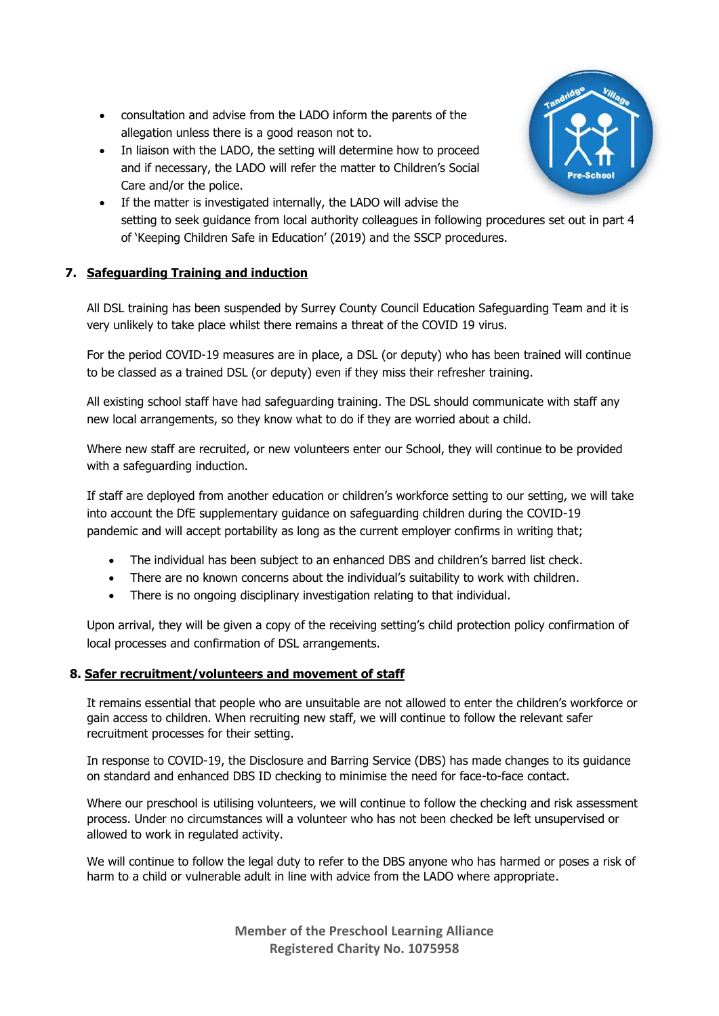- consultation and advise from the LADO inform the parents of the allegation unless there is a good reason not to.
- In liaison with the LADO, the setting will determine how to proceed and if necessary, the LADO will refer the matter to Children's Social Care and/or the police.



• If the matter is investigated internally, the LADO will advise the setting to seek guidance from local authority colleagues in following procedures set out in part 4 of 'Keeping Children Safe in Education' (2019) and the SSCP procedures.

# **7. Safeguarding Training and induction**

All DSL training has been suspended by Surrey County Council Education Safeguarding Team and it is very unlikely to take place whilst there remains a threat of the COVID 19 virus.

For the period COVID-19 measures are in place, a DSL (or deputy) who has been trained will continue to be classed as a trained DSL (or deputy) even if they miss their refresher training.

All existing school staff have had safeguarding training. The DSL should communicate with staff any new local arrangements, so they know what to do if they are worried about a child.

Where new staff are recruited, or new volunteers enter our School, they will continue to be provided with a safeguarding induction.

If staff are deployed from another education or children's workforce setting to our setting, we will take into account the DfE supplementary guidance on safeguarding children during the COVID-19 pandemic and will accept portability as long as the current employer confirms in writing that;

- The individual has been subject to an enhanced DBS and children's barred list check.
- There are no known concerns about the individual's suitability to work with children.
- There is no ongoing disciplinary investigation relating to that individual.

Upon arrival, they will be given a copy of the receiving setting's child protection policy confirmation of local processes and confirmation of DSL arrangements.

## **8. Safer recruitment/volunteers and movement of staff**

It remains essential that people who are unsuitable are not allowed to enter the children's workforce or gain access to children. When recruiting new staff, we will continue to follow the relevant safer recruitment processes for their setting.

In response to COVID-19, the Disclosure and Barring Service (DBS) has made changes to its guidance on standard and enhanced DBS ID checking to minimise the need for face-to-face contact.

Where our preschool is utilising volunteers, we will continue to follow the checking and risk assessment process. Under no circumstances will a volunteer who has not been checked be left unsupervised or allowed to work in regulated activity.

We will continue to follow the legal duty to refer to the DBS anyone who has harmed or poses a risk of harm to a child or vulnerable adult in line with advice from the LADO where appropriate.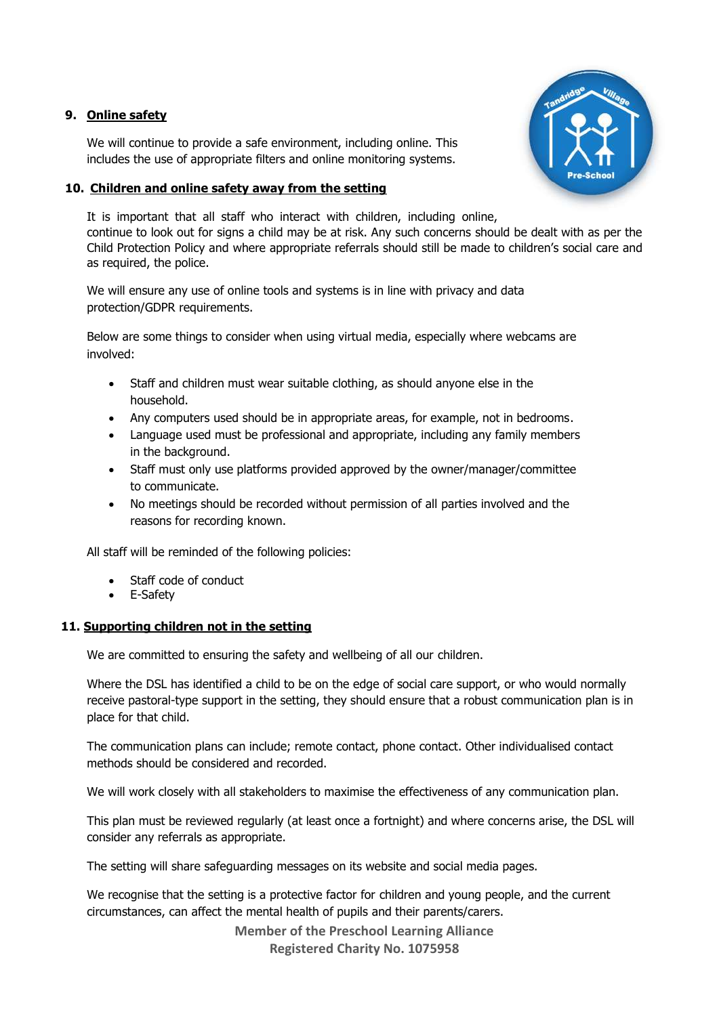#### **9. Online safety**

We will continue to provide a safe environment, including online. This includes the use of appropriate filters and online monitoring systems.

## **10. Children and online safety away from the setting**

It is important that all staff who interact with children, including online, continue to look out for signs a child may be at risk. Any such concerns should be dealt with as per the Child Protection Policy and where appropriate referrals should still be made to children's social care and as required, the police.

We will ensure any use of online tools and systems is in line with privacy and data protection/GDPR requirements.

Below are some things to consider when using virtual media, especially where webcams are involved:

- Staff and children must wear suitable clothing, as should anyone else in the household.
- Any computers used should be in appropriate areas, for example, not in bedrooms.
- Language used must be professional and appropriate, including any family members in the background.
- Staff must only use platforms provided approved by the owner/manager/committee to communicate.
- No meetings should be recorded without permission of all parties involved and the reasons for recording known.

All staff will be reminded of the following policies:

- Staff code of conduct
- E-Safety

## **11. Supporting children not in the setting**

We are committed to ensuring the safety and wellbeing of all our children.

Where the DSL has identified a child to be on the edge of social care support, or who would normally receive pastoral-type support in the setting, they should ensure that a robust communication plan is in place for that child.

The communication plans can include; remote contact, phone contact. Other individualised contact methods should be considered and recorded.

We will work closely with all stakeholders to maximise the effectiveness of any communication plan.

This plan must be reviewed regularly (at least once a fortnight) and where concerns arise, the DSL will consider any referrals as appropriate.

The setting will share safeguarding messages on its website and social media pages.

We recognise that the setting is a protective factor for children and young people, and the current circumstances, can affect the mental health of pupils and their parents/carers.

**Member of the Preschool Learning Alliance** 

**Registered Charity No. 1075958**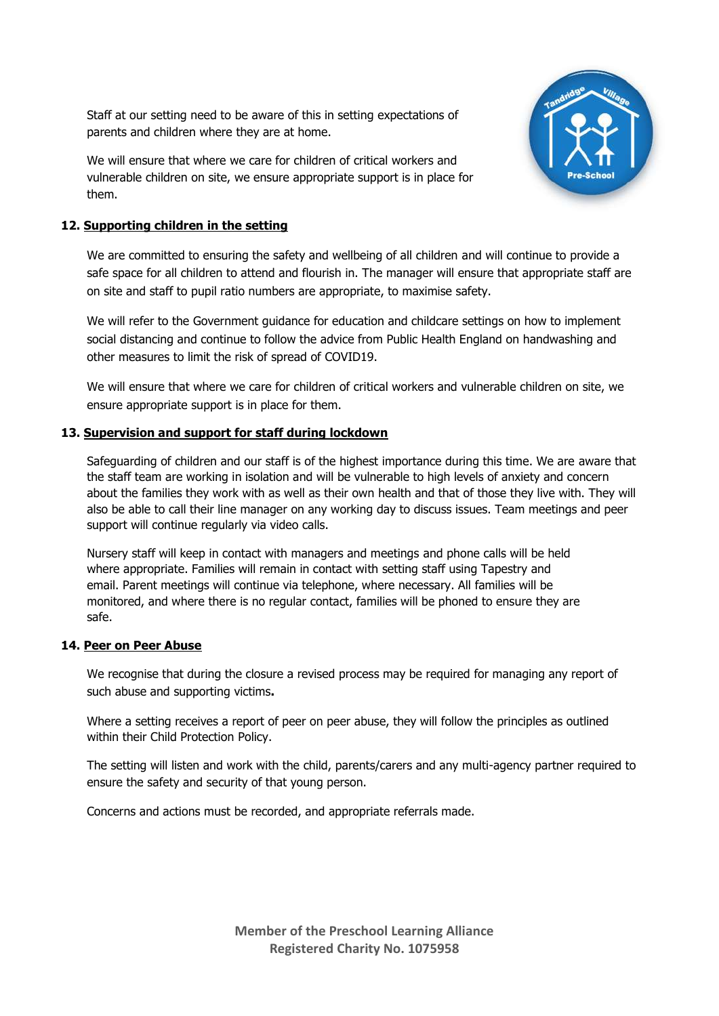Staff at our setting need to be aware of this in setting expectations of parents and children where they are at home.

We will ensure that where we care for children of critical workers and vulnerable children on site, we ensure appropriate support is in place for them.



## **12. Supporting children in the setting**

We are committed to ensuring the safety and wellbeing of all children and will continue to provide a safe space for all children to attend and flourish in. The manager will ensure that appropriate staff are on site and staff to pupil ratio numbers are appropriate, to maximise safety.

We will refer to the Government guidance for education and childcare settings on how to implement social distancing and continue to follow the advice from Public Health England on handwashing and other measures to limit the risk of spread of COVID19.

We will ensure that where we care for children of critical workers and vulnerable children on site, we ensure appropriate support is in place for them.

#### **13. Supervision and support for staff during lockdown**

Safeguarding of children and our staff is of the highest importance during this time. We are aware that the staff team are working in isolation and will be vulnerable to high levels of anxiety and concern about the families they work with as well as their own health and that of those they live with. They will also be able to call their line manager on any working day to discuss issues. Team meetings and peer support will continue regularly via video calls.

Nursery staff will keep in contact with managers and meetings and phone calls will be held where appropriate. Families will remain in contact with setting staff using Tapestry and email. Parent meetings will continue via telephone, where necessary. All families will be monitored, and where there is no regular contact, families will be phoned to ensure they are safe.

#### **14. Peer on Peer Abuse**

We recognise that during the closure a revised process may be required for managing any report of such abuse and supporting victims**.**

Where a setting receives a report of peer on peer abuse, they will follow the principles as outlined within their Child Protection Policy.

The setting will listen and work with the child, parents/carers and any multi-agency partner required to ensure the safety and security of that young person.

Concerns and actions must be recorded, and appropriate referrals made.